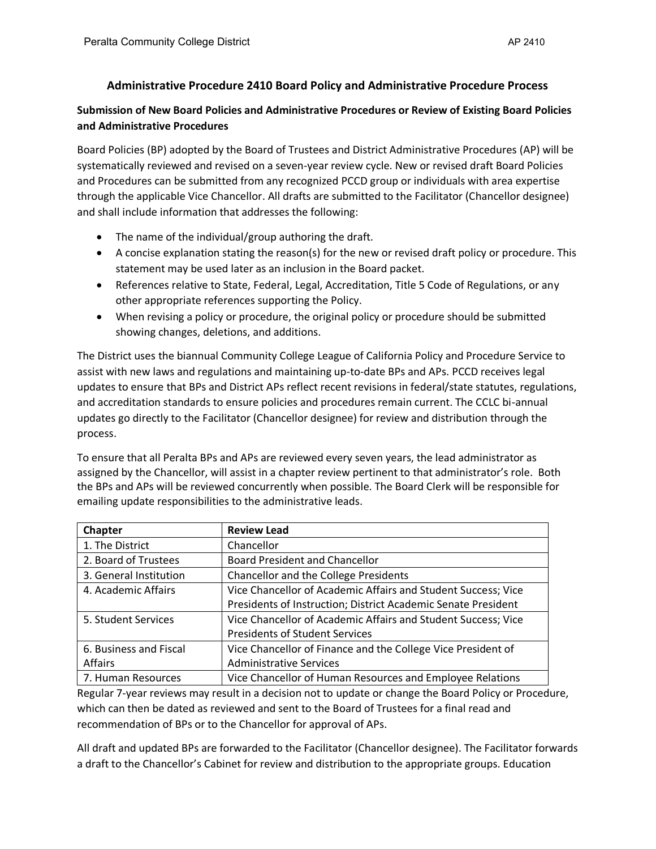## **Administrative Procedure 2410 Board Policy and Administrative Procedure Process**

## **Submission of New Board Policies and Administrative Procedures or Review of Existing Board Policies and Administrative Procedures**

Board Policies (BP) adopted by the Board of Trustees and District Administrative Procedures (AP) will be systematically reviewed and revised on a seven-year review cycle. New or revised draft Board Policies and Procedures can be submitted from any recognized PCCD group or individuals with area expertise through the applicable Vice Chancellor. All drafts are submitted to the Facilitator (Chancellor designee) and shall include information that addresses the following:

- The name of the individual/group authoring the draft.
- A concise explanation stating the reason(s) for the new or revised draft policy or procedure. This statement may be used later as an inclusion in the Board packet.
- References relative to State, Federal, Legal, Accreditation, Title 5 Code of Regulations, or any other appropriate references supporting the Policy.
- When revising a policy or procedure, the original policy or procedure should be submitted showing changes, deletions, and additions.

The District uses the biannual Community College League of California Policy and Procedure Service to assist with new laws and regulations and maintaining up-to-date BPs and APs. PCCD receives legal updates to ensure that BPs and District APs reflect recent revisions in federal/state statutes, regulations, and accreditation standards to ensure policies and procedures remain current. The CCLC bi-annual updates go directly to the Facilitator (Chancellor designee) for review and distribution through the process.

To ensure that all Peralta BPs and APs are reviewed every seven years, the lead administrator as assigned by the Chancellor, will assist in a chapter review pertinent to that administrator's role. Both the BPs and APs will be reviewed concurrently when possible. The Board Clerk will be responsible for emailing update responsibilities to the administrative leads.

| Chapter                | <b>Review Lead</b>                                            |
|------------------------|---------------------------------------------------------------|
| 1. The District        | Chancellor                                                    |
| 2. Board of Trustees   | <b>Board President and Chancellor</b>                         |
| 3. General Institution | <b>Chancellor and the College Presidents</b>                  |
| 4. Academic Affairs    | Vice Chancellor of Academic Affairs and Student Success; Vice |
|                        | Presidents of Instruction; District Academic Senate President |
| 5. Student Services    | Vice Chancellor of Academic Affairs and Student Success; Vice |
|                        | <b>Presidents of Student Services</b>                         |
| 6. Business and Fiscal | Vice Chancellor of Finance and the College Vice President of  |
| Affairs                | <b>Administrative Services</b>                                |
| 7. Human Resources     | Vice Chancellor of Human Resources and Employee Relations     |

Regular 7-year reviews may result in a decision not to update or change the Board Policy or Procedure, which can then be dated as reviewed and sent to the Board of Trustees for a final read and recommendation of BPs or to the Chancellor for approval of APs.

All draft and updated BPs are forwarded to the Facilitator (Chancellor designee). The Facilitator forwards a draft to the Chancellor's Cabinet for review and distribution to the appropriate groups. Education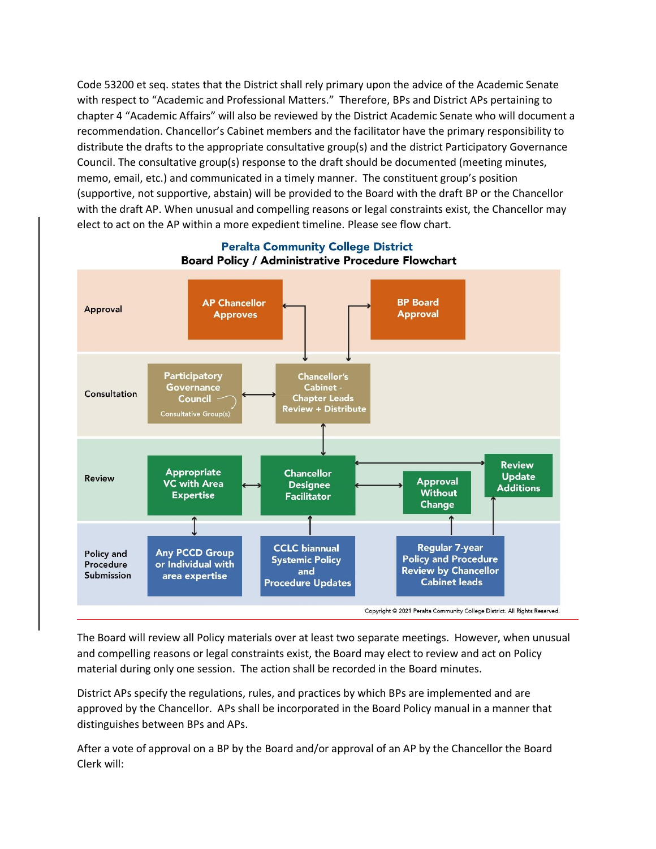Code 53200 et seq. states that the District shall rely primary upon the advice of the Academic Senate with respect to "Academic and Professional Matters." Therefore, BPs and District APs pertaining to chapter 4 "Academic Affairs" will also be reviewed by the District Academic Senate who will document a recommendation. Chancellor's Cabinet members and the facilitator have the primary responsibility to distribute the drafts to the appropriate consultative group(s) and the district Participatory Governance Council. The consultative group(s) response to the draft should be documented (meeting minutes, memo, email, etc.) and communicated in a timely manner. The constituent group's position (supportive, not supportive, abstain) will be provided to the Board with the draft BP or the Chancellor with the draft AP. When unusual and compelling reasons or legal constraints exist, the Chancellor may elect to act on the AP within a more expedient timeline. Please see flow chart.



## **Peralta Community College District** Board Policy / Administrative Procedure Flowchart

The Board will review all Policy materials over at least two separate meetings. However, when unusual and compelling reasons or legal constraints exist, the Board may elect to review and act on Policy material during only one session. The action shall be recorded in the Board minutes.

District APs specify the regulations, rules, and practices by which BPs are implemented and are approved by the Chancellor. APs shall be incorporated in the Board Policy manual in a manner that distinguishes between BPs and APs.

After a vote of approval on a BP by the Board and/or approval of an AP by the Chancellor the Board Clerk will: